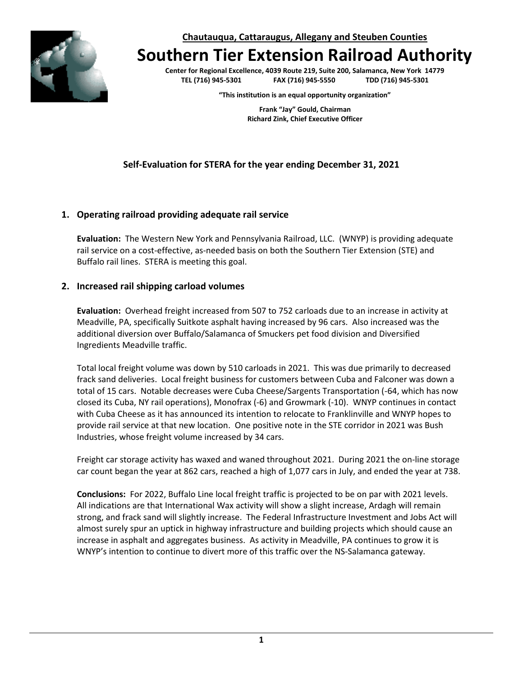**Chautauqua, Cattaraugus, Allegany and Steuben Counties**



# **Southern Tier Extension Railroad Authority**

**Center for Regional Excellence, 4039 Route 219, Suite 200, Salamanca, New York 14779 TEL (716) 945-5301 FAX (716) 945-5550 TDD (716) 945-5301**

**"This institution is an equal opportunity organization"**

**Frank "Jay" Gould, Chairman Richard Zink, Chief Executive Officer**

# **Self-Evaluation for STERA for the year ending December 31, 2021**

#### **1. Operating railroad providing adequate rail service**

**Evaluation:** The Western New York and Pennsylvania Railroad, LLC. (WNYP) is providing adequate rail service on a cost-effective, as-needed basis on both the Southern Tier Extension (STE) and Buffalo rail lines. STERA is meeting this goal.

#### **2. Increased rail shipping carload volumes**

**Evaluation:** Overhead freight increased from 507 to 752 carloads due to an increase in activity at Meadville, PA, specifically Suitkote asphalt having increased by 96 cars. Also increased was the additional diversion over Buffalo/Salamanca of Smuckers pet food division and Diversified Ingredients Meadville traffic.

Total local freight volume was down by 510 carloads in 2021. This was due primarily to decreased frack sand deliveries. Local freight business for customers between Cuba and Falconer was down a total of 15 cars. Notable decreases were Cuba Cheese/Sargents Transportation (-64, which has now closed its Cuba, NY rail operations), Monofrax (-6) and Growmark (-10). WNYP continues in contact with Cuba Cheese as it has announced its intention to relocate to Franklinville and WNYP hopes to provide rail service at that new location. One positive note in the STE corridor in 2021 was Bush Industries, whose freight volume increased by 34 cars.

Freight car storage activity has waxed and waned throughout 2021. During 2021 the on-line storage car count began the year at 862 cars, reached a high of 1,077 cars in July, and ended the year at 738.

**Conclusions:** For 2022, Buffalo Line local freight traffic is projected to be on par with 2021 levels. All indications are that International Wax activity will show a slight increase, Ardagh will remain strong, and frack sand will slightly increase. The Federal Infrastructure Investment and Jobs Act will almost surely spur an uptick in highway infrastructure and building projects which should cause an increase in asphalt and aggregates business. As activity in Meadville, PA continues to grow it is WNYP's intention to continue to divert more of this traffic over the NS-Salamanca gateway.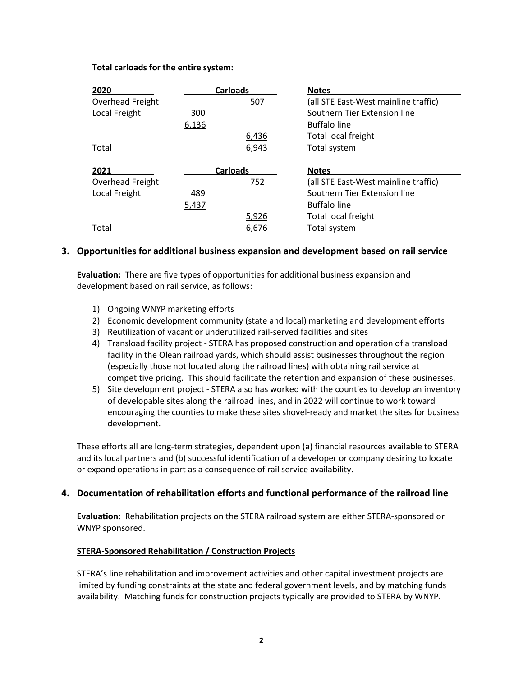#### **Total carloads for the entire system:**

| 2020             | <b>Carloads</b> |       | <b>Notes</b>                         |
|------------------|-----------------|-------|--------------------------------------|
| Overhead Freight |                 | 507   | (all STE East-West mainline traffic) |
| Local Freight    | 300             |       | Southern Tier Extension line         |
|                  | 6,136           |       | <b>Buffalo line</b>                  |
|                  |                 | 6,436 | Total local freight                  |
| Total            |                 | 6,943 | Total system                         |
|                  | <b>Carloads</b> |       |                                      |
| 2021             |                 |       | <b>Notes</b>                         |
| Overhead Freight |                 | 752   | (all STE East-West mainline traffic) |
| Local Freight    | 489             |       | Southern Tier Extension line         |
|                  | 5,437           |       | <b>Buffalo line</b>                  |
|                  |                 | 5,926 | Total local freight                  |

# **3. Opportunities for additional business expansion and development based on rail service**

**Evaluation:** There are five types of opportunities for additional business expansion and development based on rail service, as follows:

- 1) Ongoing WNYP marketing efforts
- 2) Economic development community (state and local) marketing and development efforts
- 3) Reutilization of vacant or underutilized rail-served facilities and sites
- 4) Transload facility project STERA has proposed construction and operation of a transload facility in the Olean railroad yards, which should assist businesses throughout the region (especially those not located along the railroad lines) with obtaining rail service at competitive pricing. This should facilitate the retention and expansion of these businesses.
- 5) Site development project STERA also has worked with the counties to develop an inventory of developable sites along the railroad lines, and in 2022 will continue to work toward encouraging the counties to make these sites shovel-ready and market the sites for business development.

These efforts all are long-term strategies, dependent upon (a) financial resources available to STERA and its local partners and (b) successful identification of a developer or company desiring to locate or expand operations in part as a consequence of rail service availability.

# **4. Documentation of rehabilitation efforts and functional performance of the railroad line**

**Evaluation:** Rehabilitation projects on the STERA railroad system are either STERA-sponsored or WNYP sponsored.

# **STERA-Sponsored Rehabilitation / Construction Projects**

STERA's line rehabilitation and improvement activities and other capital investment projects are limited by funding constraints at the state and federal government levels, and by matching funds availability. Matching funds for construction projects typically are provided to STERA by WNYP.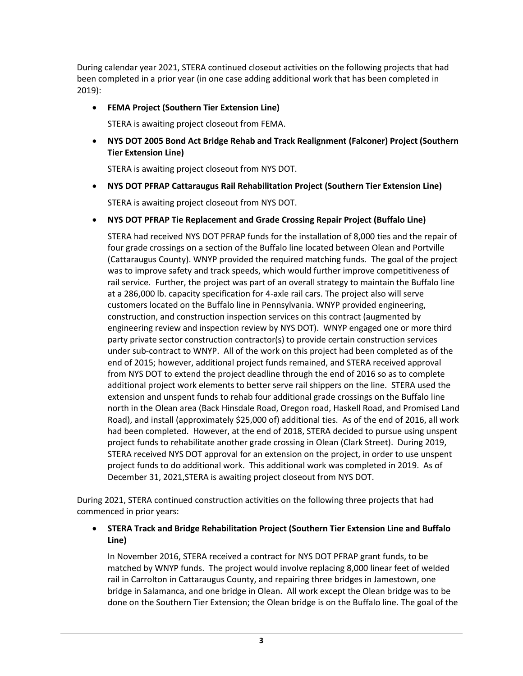During calendar year 2021, STERA continued closeout activities on the following projects that had been completed in a prior year (in one case adding additional work that has been completed in 2019):

# • **FEMA Project (Southern Tier Extension Line)**

STERA is awaiting project closeout from FEMA.

• **NYS DOT 2005 Bond Act Bridge Rehab and Track Realignment (Falconer) Project (Southern Tier Extension Line)**

STERA is awaiting project closeout from NYS DOT.

• **NYS DOT PFRAP Cattaraugus Rail Rehabilitation Project (Southern Tier Extension Line)**

STERA is awaiting project closeout from NYS DOT.

• **NYS DOT PFRAP Tie Replacement and Grade Crossing Repair Project (Buffalo Line)**

STERA had received NYS DOT PFRAP funds for the installation of 8,000 ties and the repair of four grade crossings on a section of the Buffalo line located between Olean and Portville (Cattaraugus County). WNYP provided the required matching funds. The goal of the project was to improve safety and track speeds, which would further improve competitiveness of rail service. Further, the project was part of an overall strategy to maintain the Buffalo line at a 286,000 lb. capacity specification for 4-axle rail cars. The project also will serve customers located on the Buffalo line in Pennsylvania. WNYP provided engineering, construction, and construction inspection services on this contract (augmented by engineering review and inspection review by NYS DOT). WNYP engaged one or more third party private sector construction contractor(s) to provide certain construction services under sub-contract to WNYP. All of the work on this project had been completed as of the end of 2015; however, additional project funds remained, and STERA received approval from NYS DOT to extend the project deadline through the end of 2016 so as to complete additional project work elements to better serve rail shippers on the line. STERA used the extension and unspent funds to rehab four additional grade crossings on the Buffalo line north in the Olean area (Back Hinsdale Road, Oregon road, Haskell Road, and Promised Land Road), and install (approximately \$25,000 of) additional ties. As of the end of 2016, all work had been completed. However, at the end of 2018, STERA decided to pursue using unspent project funds to rehabilitate another grade crossing in Olean (Clark Street). During 2019, STERA received NYS DOT approval for an extension on the project, in order to use unspent project funds to do additional work. This additional work was completed in 2019. As of December 31, 2021,STERA is awaiting project closeout from NYS DOT.

During 2021, STERA continued construction activities on the following three projects that had commenced in prior years:

## • **STERA Track and Bridge Rehabilitation Project (Southern Tier Extension Line and Buffalo Line)**

In November 2016, STERA received a contract for NYS DOT PFRAP grant funds, to be matched by WNYP funds. The project would involve replacing 8,000 linear feet of welded rail in Carrolton in Cattaraugus County, and repairing three bridges in Jamestown, one bridge in Salamanca, and one bridge in Olean. All work except the Olean bridge was to be done on the Southern Tier Extension; the Olean bridge is on the Buffalo line. The goal of the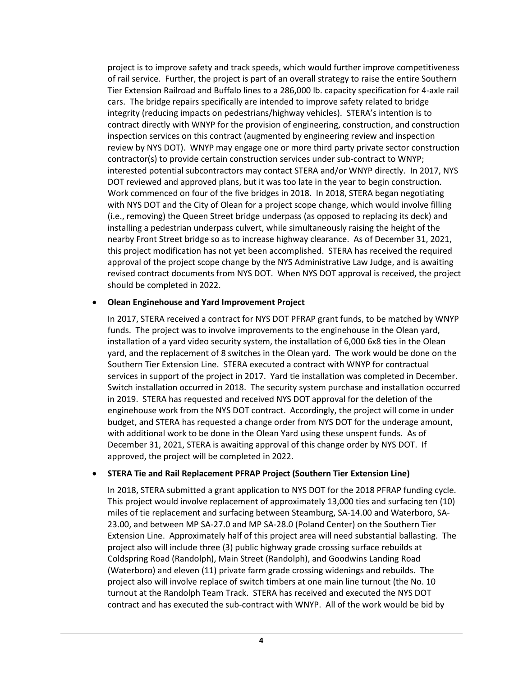project is to improve safety and track speeds, which would further improve competitiveness of rail service. Further, the project is part of an overall strategy to raise the entire Southern Tier Extension Railroad and Buffalo lines to a 286,000 lb. capacity specification for 4-axle rail cars. The bridge repairs specifically are intended to improve safety related to bridge integrity (reducing impacts on pedestrians/highway vehicles). STERA's intention is to contract directly with WNYP for the provision of engineering, construction, and construction inspection services on this contract (augmented by engineering review and inspection review by NYS DOT). WNYP may engage one or more third party private sector construction contractor(s) to provide certain construction services under sub-contract to WNYP; interested potential subcontractors may contact STERA and/or WNYP directly. In 2017, NYS DOT reviewed and approved plans, but it was too late in the year to begin construction. Work commenced on four of the five bridges in 2018. In 2018, STERA began negotiating with NYS DOT and the City of Olean for a project scope change, which would involve filling (i.e., removing) the Queen Street bridge underpass (as opposed to replacing its deck) and installing a pedestrian underpass culvert, while simultaneously raising the height of the nearby Front Street bridge so as to increase highway clearance. As of December 31, 2021, this project modification has not yet been accomplished. STERA has received the required approval of the project scope change by the NYS Administrative Law Judge, and is awaiting revised contract documents from NYS DOT. When NYS DOT approval is received, the project should be completed in 2022.

#### • **Olean Enginehouse and Yard Improvement Project**

In 2017, STERA received a contract for NYS DOT PFRAP grant funds, to be matched by WNYP funds. The project was to involve improvements to the enginehouse in the Olean yard, installation of a yard video security system, the installation of 6,000 6x8 ties in the Olean yard, and the replacement of 8 switches in the Olean yard. The work would be done on the Southern Tier Extension Line. STERA executed a contract with WNYP for contractual services in support of the project in 2017. Yard tie installation was completed in December. Switch installation occurred in 2018. The security system purchase and installation occurred in 2019. STERA has requested and received NYS DOT approval for the deletion of the enginehouse work from the NYS DOT contract. Accordingly, the project will come in under budget, and STERA has requested a change order from NYS DOT for the underage amount, with additional work to be done in the Olean Yard using these unspent funds. As of December 31, 2021, STERA is awaiting approval of this change order by NYS DOT. If approved, the project will be completed in 2022.

#### • **STERA Tie and Rail Replacement PFRAP Project (Southern Tier Extension Line)**

In 2018, STERA submitted a grant application to NYS DOT for the 2018 PFRAP funding cycle. This project would involve replacement of approximately 13,000 ties and surfacing ten (10) miles of tie replacement and surfacing between Steamburg, SA-14.00 and Waterboro, SA-23.00, and between MP SA-27.0 and MP SA-28.0 (Poland Center) on the Southern Tier Extension Line. Approximately half of this project area will need substantial ballasting. The project also will include three (3) public highway grade crossing surface rebuilds at Coldspring Road (Randolph), Main Street (Randolph), and Goodwins Landing Road (Waterboro) and eleven (11) private farm grade crossing widenings and rebuilds. The project also will involve replace of switch timbers at one main line turnout (the No. 10 turnout at the Randolph Team Track. STERA has received and executed the NYS DOT contract and has executed the sub-contract with WNYP. All of the work would be bid by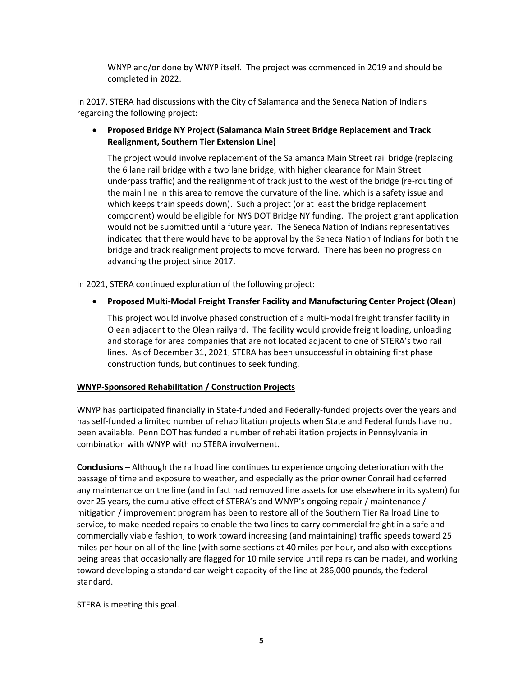WNYP and/or done by WNYP itself. The project was commenced in 2019 and should be completed in 2022.

In 2017, STERA had discussions with the City of Salamanca and the Seneca Nation of Indians regarding the following project:

## • **Proposed Bridge NY Project (Salamanca Main Street Bridge Replacement and Track Realignment, Southern Tier Extension Line)**

The project would involve replacement of the Salamanca Main Street rail bridge (replacing the 6 lane rail bridge with a two lane bridge, with higher clearance for Main Street underpass traffic) and the realignment of track just to the west of the bridge (re-routing of the main line in this area to remove the curvature of the line, which is a safety issue and which keeps train speeds down). Such a project (or at least the bridge replacement component) would be eligible for NYS DOT Bridge NY funding. The project grant application would not be submitted until a future year. The Seneca Nation of Indians representatives indicated that there would have to be approval by the Seneca Nation of Indians for both the bridge and track realignment projects to move forward. There has been no progress on advancing the project since 2017.

In 2021, STERA continued exploration of the following project:

# • **Proposed Multi-Modal Freight Transfer Facility and Manufacturing Center Project (Olean)**

This project would involve phased construction of a multi-modal freight transfer facility in Olean adjacent to the Olean railyard. The facility would provide freight loading, unloading and storage for area companies that are not located adjacent to one of STERA's two rail lines. As of December 31, 2021, STERA has been unsuccessful in obtaining first phase construction funds, but continues to seek funding.

# **WNYP-Sponsored Rehabilitation / Construction Projects**

WNYP has participated financially in State-funded and Federally-funded projects over the years and has self-funded a limited number of rehabilitation projects when State and Federal funds have not been available. Penn DOT has funded a number of rehabilitation projects in Pennsylvania in combination with WNYP with no STERA involvement.

**Conclusions** – Although the railroad line continues to experience ongoing deterioration with the passage of time and exposure to weather, and especially as the prior owner Conrail had deferred any maintenance on the line (and in fact had removed line assets for use elsewhere in its system) for over 25 years, the cumulative effect of STERA's and WNYP's ongoing repair / maintenance / mitigation / improvement program has been to restore all of the Southern Tier Railroad Line to service, to make needed repairs to enable the two lines to carry commercial freight in a safe and commercially viable fashion, to work toward increasing (and maintaining) traffic speeds toward 25 miles per hour on all of the line (with some sections at 40 miles per hour, and also with exceptions being areas that occasionally are flagged for 10 mile service until repairs can be made), and working toward developing a standard car weight capacity of the line at 286,000 pounds, the federal standard.

STERA is meeting this goal.